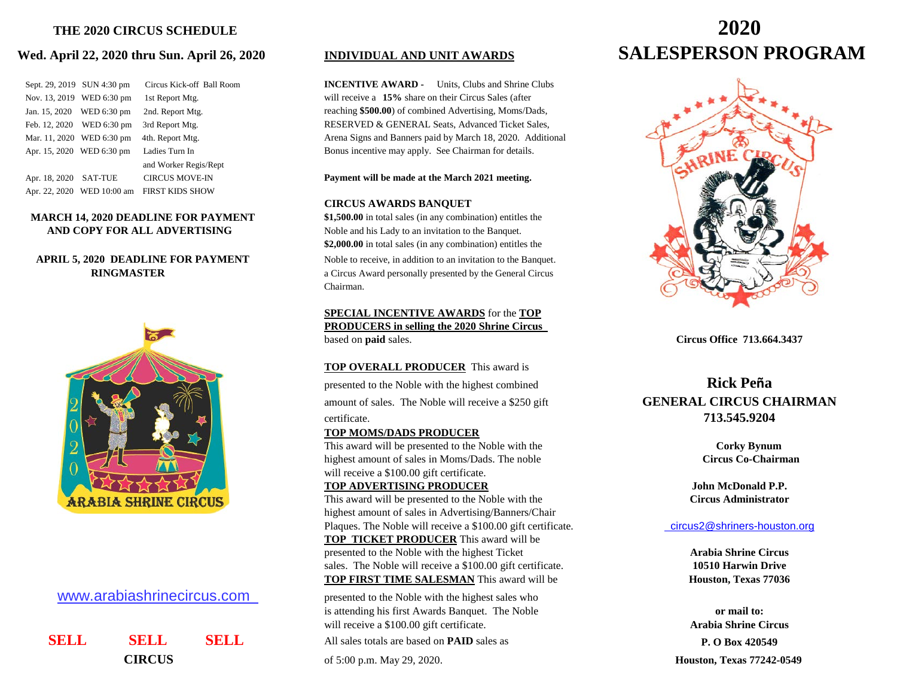## **Wed. April 22, 2020 thru Sun. April 26, 2020**

|               | Sept. 29, 2019 SUN 4:30 pm | Circus Kick-off Ball Roon |
|---------------|----------------------------|---------------------------|
| Nov. 13, 2019 | WED 6:30 pm                | 1st Report Mtg.           |
| Jan. 15, 2020 | WED 6:30 pm                | 2nd. Report Mtg.          |
| Feb. 12, 2020 | WED 6:30 pm                | 3rd Report Mtg.           |
| Mar. 11, 2020 | WED 6:30 pm                | 4th. Report Mtg.          |
|               | Apr. 15, 2020 WED 6:30 pm  | Ladies Turn In            |
|               |                            | and Worker Regis/Rept     |
| Apr. 18, 2020 | <b>SAT-TUE</b>             | <b>CIRCUS MOVE-IN</b>     |
|               | Apr. 22, 2020 WED 10:00 am | FIRST KIDS SHOW           |

## **MARCH 14, 2020 DEADLINE FOR PAYMENT** \$1,500.00 in total sales (in any combination) entitles the **AND COPY FOR ALL ADVERTISING** Noble and his Lady to an invitation to the Banquet.

# **APRIL 5, 2020 DEADLINE FOR PAYMENT** Noble to receive, in addition to an invitation to the Banquet.



## [www](http://www.arabiashrinecircus.com/).arabiashrinecircus.com

 **SELL SELL SELL** All sales totals are based on **PAID** sales as **P. O Box 420549**

**INCENTIVE AWARD -** Units, Clubs and Shrine Clubs will receive a **15%** share on their Circus Sales (after reaching \$500.00) of combined Advertising, Moms/Dads, RESERVED & GENERAL Seats, Advanced Ticket Sales, Arena Signs and Banners paid by March 18, 2020. Additional Bonus incentive may apply. See Chairman for details.

## Payment will be made at the March 2021 meeting.

## **CIRCUS AWARDS BANQUET**

**\$2,000.00** in total sales (in any combination) entitles the

**RINGMASTER** a Circus Award personally presented by the General Circus Chairman.

## **SPECIAL INCENTIVE AWARDS** for the **TOP PRODUCERS in selling the 2020 Shrine Circus**  based on **paid** sales. **Circus Office 713.664.3437**

## **TOP OVERALL PRODUCER** This award is

presented to the Noble with the highest combined **Rick Peña** amount of sales. The Noble will receive a \$250 gift **GENERAL CIRCUS CHAIRMAN** certificate. **713.545.9204**

## **TOP MOMS/DADS PRODUCER**

This award will be presented to the Noble with the **Corky Bynum Corky Bynum** highest amount of sales in Moms/Dads. The noble **Circus Co-Chairman**  will receive a \$100.00 gift certificate.

## **TOP ADVERTISING PRODUCER John McDonald P.P.**

This award will be presented to the Noble with the **Circus Administrator** highest amount of sales in Advertising/Banners/Chair Plaques. The Noble will receive a \$100.00 gift certificate. circus2@shriners-houston.org **TOP TICKET PRODUCER** This award will be presented to the Noble with the highest Ticket **Arabia Shrine Circus** sales. The Noble will receive a \$100.00 gift certificate. **10510 Harwin Drive TOP FIRST TIME SALESMAN** This award will be **Houston, Texas 77036** 

presented to the Noble with the highest sales who is attending his first Awards Banquet. The Noble **or mail to:** will receive a \$100.00 gift certificate. **Arabia Shrine Circus**

# **THE 2020 CIRCUS SCHEDULE 2020 INDIVIDUAL AND UNIT AWARDS SALESPERSON PROGRAM**



**CIRCUS** of 5:00 p.m. May 29, 2020. **Houston, Texas 77242-0549**